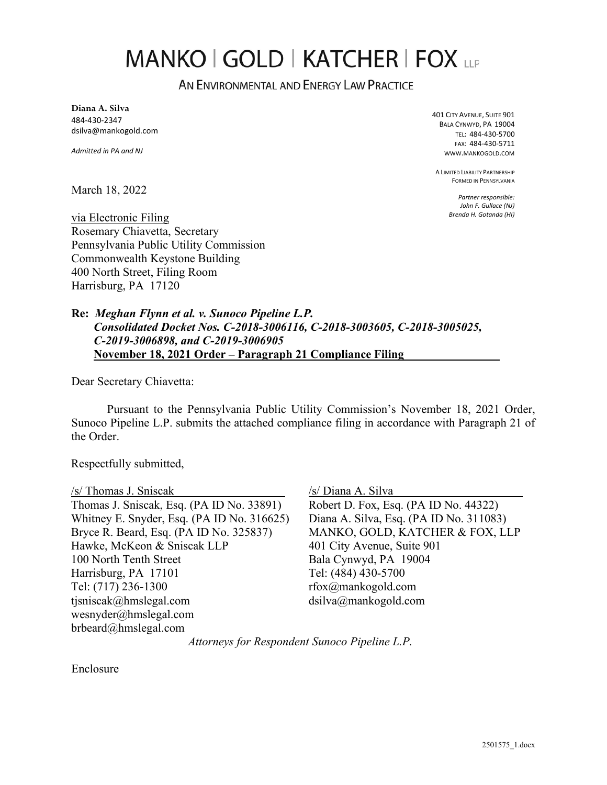# MANKO | GOLD | KATCHER | FOX LLP

AN ENVIRONMENTAL AND ENERGY LAW PRACTICE

**Diana A. Silva**  484-430-2347 dsilva@mankogold.com

*Admitted in PA and NJ* 

401 CITY AVENUE, SUITE 901 BALA CYNWYD, PA 19004 TEL: 484-430-5700 FAX: 484-430-5711 WWW.MANKOGOLD.COM

A LIMITED LIABILITY PARTNERSHIP FORMED IN PENNSYLVANIA

> *Partner responsible: John F. Gullace (NJ) Brenda H. Gotanda (HI)*

March 18, 2022

via Electronic Filing Rosemary Chiavetta, Secretary Pennsylvania Public Utility Commission Commonwealth Keystone Building 400 North Street, Filing Room Harrisburg, PA 17120

**Re:** *Meghan Flynn et al. v. Sunoco Pipeline L.P. Consolidated Docket Nos. C-2018-3006116, C-2018-3003605, C-2018-3005025, C-2019-3006898, and C-2019-3006905*  **November 18, 2021 Order – Paragraph 21 Compliance Filing** 

Dear Secretary Chiavetta:

Pursuant to the Pennsylvania Public Utility Commission's November 18, 2021 Order, Sunoco Pipeline L.P. submits the attached compliance filing in accordance with Paragraph 21 of the Order.

Respectfully submitted,

/s/ Thomas J. Sniscak Thomas J. Sniscak, Esq. (PA ID No. 33891) Whitney E. Snyder, Esq. (PA ID No. 316625) Bryce R. Beard, Esq. (PA ID No. 325837) Hawke, McKeon & Sniscak LLP 100 North Tenth Street Harrisburg, PA 17101 Tel: (717) 236-1300 tjsniscak@hmslegal.com wesnyder@hmslegal.com brbeard@hmslegal.com

/s/ Diana A. Silva

Robert D. Fox, Esq. (PA ID No. 44322) Diana A. Silva, Esq. (PA ID No. 311083) MANKO, GOLD, KATCHER & FOX, LLP 401 City Avenue, Suite 901 Bala Cynwyd, PA 19004 Tel: (484) 430-5700 rfox@mankogold.com dsilva@mankogold.com

*Attorneys for Respondent Sunoco Pipeline L.P.*

Enclosure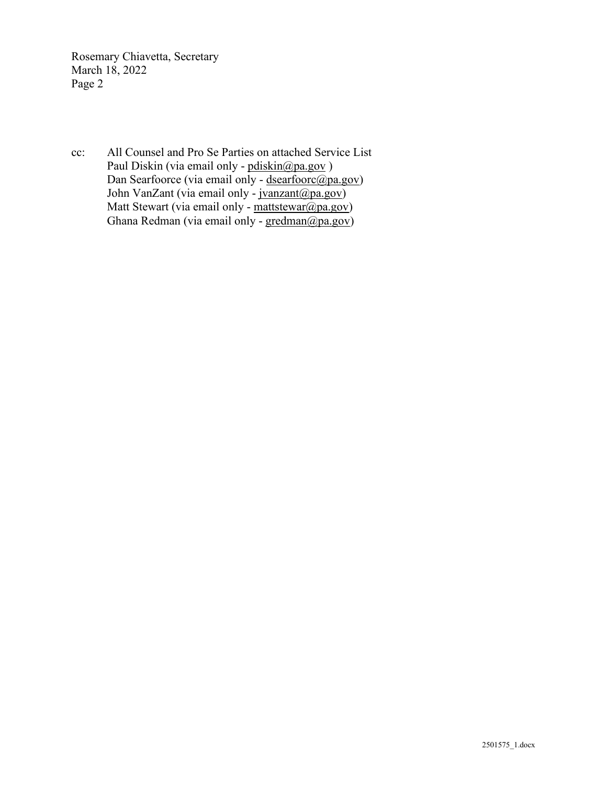Rosemary Chiavetta, Secretary March 18, 2022 Page 2

cc: All Counsel and Pro Se Parties on attached Service List Paul Diskin (via email only - pdiskin@pa.gov) Dan Searfoorce (via email only - [dsearfoorc@pa.gov\)](mailto:dsearfoorc@pa.gov) John VanZant (via email only - [jvanzant@pa.gov\)](mailto:jvanzant@pa.gov) Matt Stewart (via email only - [mattstewar@pa.gov\)](mailto:mattstewar@pa.gov) Ghana Redman (via email only - [gredman@pa.gov\)](mailto:gredman@pa.gov)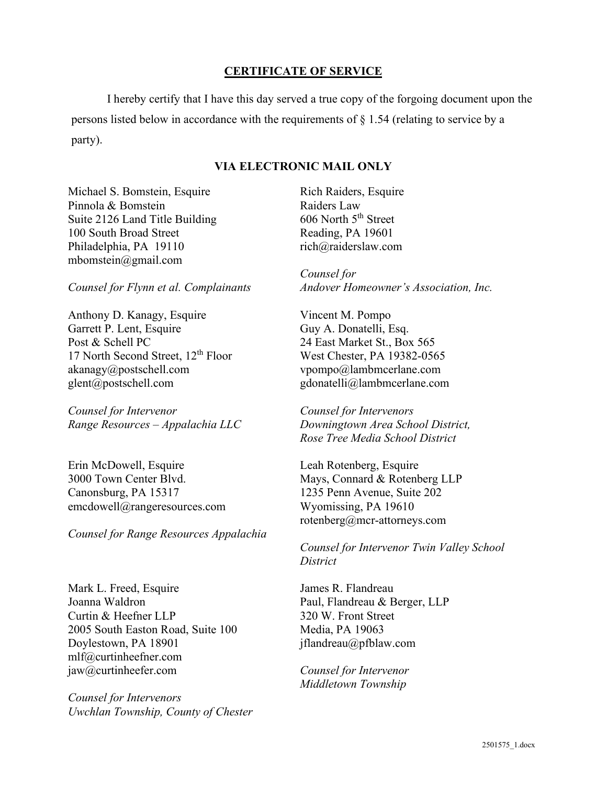# **CERTIFICATE OF SERVICE**

I hereby certify that I have this day served a true copy of the forgoing document upon the persons listed below in accordance with the requirements of § 1.54 (relating to service by a party).

### **VIA ELECTRONIC MAIL ONLY**

Michael S. Bomstein, Esquire Pinnola & Bomstein Suite 2126 Land Title Building 100 South Broad Street Philadelphia, PA 19110 mbomstein@gmail.com

*Counsel for Flynn et al. Complainants*

Anthony D. Kanagy, Esquire Garrett P. Lent, Esquire Post & Schell PC 17 North Second Street,  $12<sup>th</sup>$  Floor akanagy@postschell.com glent@postschell.com

*Counsel for Intervenor Range Resources – Appalachia LLC*

Erin McDowell, Esquire 3000 Town Center Blvd. Canonsburg, PA 15317 emcdowell@rangeresources.com

*Counsel for Range Resources Appalachia* 

Mark L. Freed, Esquire Joanna Waldron Curtin & Heefner LLP 2005 South Easton Road, Suite 100 Doylestown, PA 18901 mlf@curtinheefner.com jaw@curtinheefer.com

*Counsel for Intervenors Uwchlan Township, County of Chester*

Rich Raiders, Esquire Raiders Law 606 North 5<sup>th</sup> Street Reading, PA 19601 rich@raiderslaw.com

*Counsel for Andover Homeowner's Association, Inc.* 

Vincent M. Pompo Guy A. Donatelli, Esq. 24 East Market St., Box 565 West Chester, PA 19382-0565 vpompo@lambmcerlane.com gdonatelli@lambmcerlane.com

*Counsel for Intervenors Downingtown Area School District, Rose Tree Media School District* 

Leah Rotenberg, Esquire Mays, Connard & Rotenberg LLP 1235 Penn Avenue, Suite 202 Wyomissing, PA 19610 rotenberg@mcr-attorneys.com

*Counsel for Intervenor Twin Valley School District* 

James R. Flandreau Paul, Flandreau & Berger, LLP 320 W. Front Street Media, PA 19063 jflandreau@pfblaw.com

*Counsel for Intervenor Middletown Township*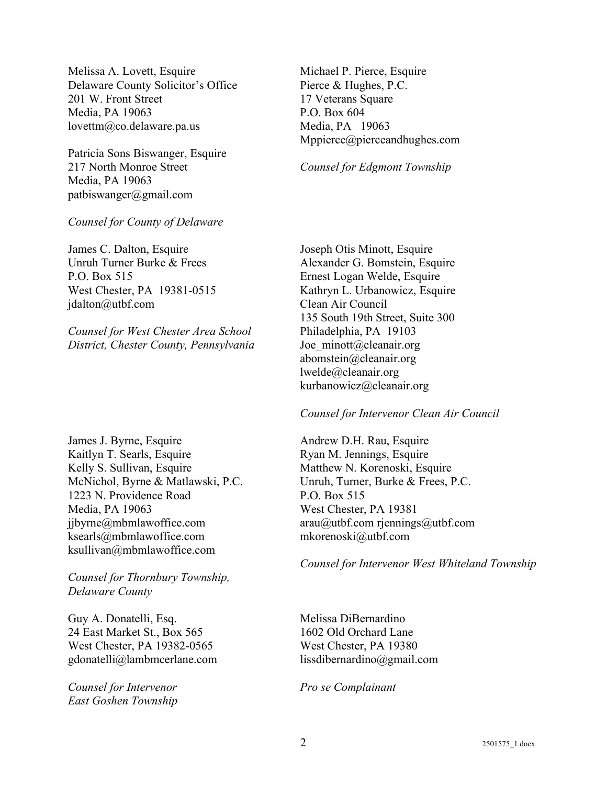Melissa A. Lovett, Esquire Delaware County Solicitor's Office 201 W. Front Street Media, PA 19063 lovettm@co.delaware.pa.us

Patricia Sons Biswanger, Esquire 217 North Monroe Street Media, PA 19063 patbiswanger@gmail.com

#### *Counsel for County of Delaware*

James C. Dalton, Esquire Unruh Turner Burke & Frees P.O. Box 515 West Chester, PA 19381-0515 jdalton@utbf.com

*Counsel for West Chester Area School District, Chester County, Pennsylvania* 

James J. Byrne, Esquire Kaitlyn T. Searls, Esquire Kelly S. Sullivan, Esquire McNichol, Byrne & Matlawski, P.C. 1223 N. Providence Road Media, PA 19063 jjbyrne@mbmlawoffice.com ksearls@mbmlawoffice.com ksullivan@mbmlawoffice.com

*Counsel for Thornbury Township, Delaware County*

Guy A. Donatelli, Esq. 24 East Market St., Box 565 West Chester, PA 19382-0565 gdonatelli@lambmcerlane.com

*Counsel for Intervenor East Goshen Township*  Michael P. Pierce, Esquire Pierce & Hughes, P.C. 17 Veterans Square P.O. Box 604 Media, PA 19063 Mppierce@pierceandhughes.com

#### *Counsel for Edgmont Township*

Joseph Otis Minott, Esquire Alexander G. Bomstein, Esquire Ernest Logan Welde, Esquire Kathryn L. Urbanowicz, Esquire Clean Air Council 135 South 19th Street, Suite 300 Philadelphia, PA 19103 Joe minott@cleanair.org abomstein@cleanair.org lwelde@cleanair.org kurbanowicz@cleanair.org

#### *Counsel for Intervenor Clean Air Council*

Andrew D.H. Rau, Esquire Ryan M. Jennings, Esquire Matthew N. Korenoski, Esquire Unruh, Turner, Burke & Frees, P.C. P.O. Box 515 West Chester, PA 19381 arau@utbf.com rjennings@utbf.com mkorenoski@utbf.com

*Counsel for Intervenor West Whiteland Township* 

Melissa DiBernardino 1602 Old Orchard Lane West Chester, PA 19380 lissdibernardino@gmail.com

*Pro se Complainant*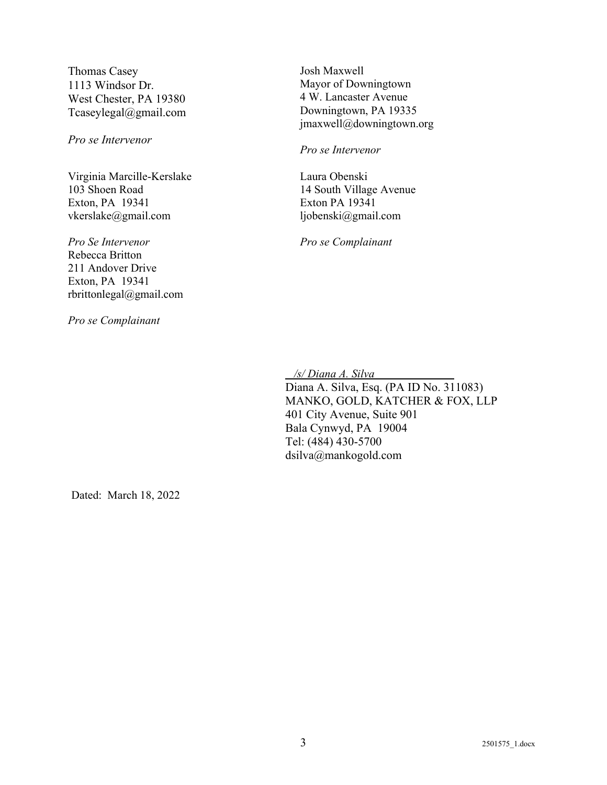Thomas Casey 1113 Windsor Dr. West Chester, PA 19380 Tcaseylegal@gmail.com

*Pro se Intervenor*

Virginia Marcille-Kerslake 103 Shoen Road Exton, PA 19341 vkerslake@gmail.com

*Pro Se Intervenor* Rebecca Britton 211 Andover Drive Exton, PA 19341 rbrittonlegal@gmail.com

*Pro se Complainant* 

Josh Maxwell Mayor of Downingtown 4 W. Lancaster Avenue Downingtown, PA 19335 jmaxwell@downingtown.org

*Pro se Intervenor* 

Laura Obenski 14 South Village Avenue Exton PA 19341 ljobenski@gmail.com

*Pro se Complainant*

 */s/ Diana A. Silva* 

Diana A. Silva, Esq. (PA ID No. 311083) MANKO, GOLD, KATCHER & FOX, LLP 401 City Avenue, Suite 901 Bala Cynwyd, PA 19004 Tel: (484) 430-5700 dsilva@mankogold.com

Dated: March 18, 2022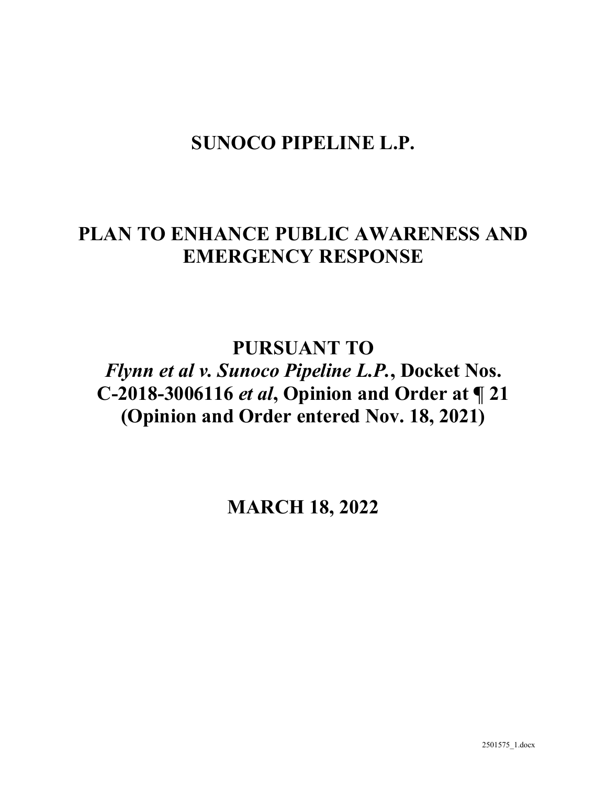# **SUNOCO PIPELINE L.P.**

# **PLAN TO ENHANCE PUBLIC AWARENESS AND EMERGENCY RESPONSE**

**PURSUANT TO** 

*Flynn et al v. Sunoco Pipeline L.P.***, Docket Nos. C-2018-3006116** *et al***, Opinion and Order at ¶ 21 (Opinion and Order entered Nov. 18, 2021)** 

**MARCH 18, 2022**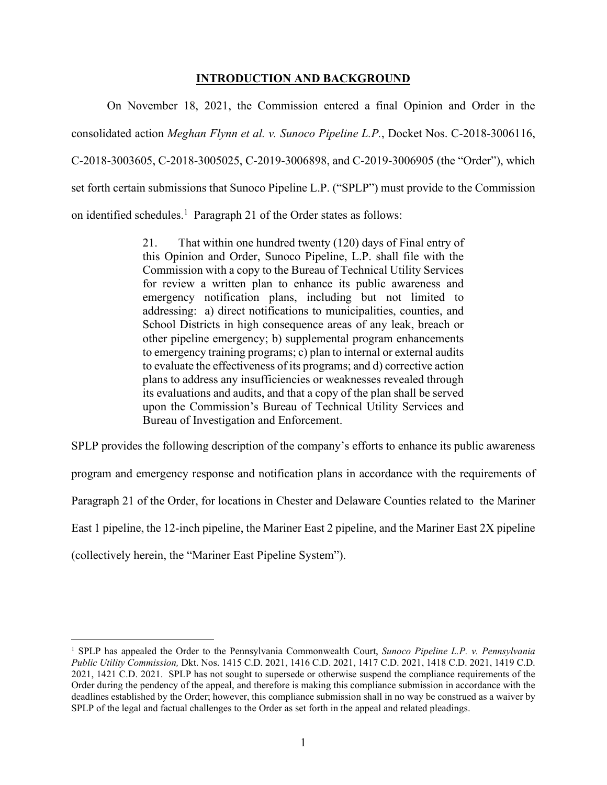### **INTRODUCTION AND BACKGROUND**

On November 18, 2021, the Commission entered a final Opinion and Order in the consolidated action *Meghan Flynn et al. v. Sunoco Pipeline L.P.*, Docket Nos. C-2018-3006116, C-2018-3003605, C-2018-3005025, C-2019-3006898, and C-2019-3006905 (the "Order"), which set forth certain submissions that Sunoco Pipeline L.P. ("SPLP") must provide to the Commission on identified schedules.<sup>1</sup> Paragraph 21 of the Order states as follows:

> 21. That within one hundred twenty (120) days of Final entry of this Opinion and Order, Sunoco Pipeline, L.P. shall file with the Commission with a copy to the Bureau of Technical Utility Services for review a written plan to enhance its public awareness and emergency notification plans, including but not limited to addressing: a) direct notifications to municipalities, counties, and School Districts in high consequence areas of any leak, breach or other pipeline emergency; b) supplemental program enhancements to emergency training programs; c) plan to internal or external audits to evaluate the effectiveness of its programs; and d) corrective action plans to address any insufficiencies or weaknesses revealed through its evaluations and audits, and that a copy of the plan shall be served upon the Commission's Bureau of Technical Utility Services and Bureau of Investigation and Enforcement.

SPLP provides the following description of the company's efforts to enhance its public awareness program and emergency response and notification plans in accordance with the requirements of Paragraph 21 of the Order, for locations in Chester and Delaware Counties related to the Mariner East 1 pipeline, the 12-inch pipeline, the Mariner East 2 pipeline, and the Mariner East 2X pipeline (collectively herein, the "Mariner East Pipeline System").

<sup>&</sup>lt;sup>1</sup> SPLP has appealed the Order to the Pennsylvania Commonwealth Court, *Sunoco Pipeline L.P. v. Pennsylvania Public Utility Commission,* Dkt. Nos. 1415 C.D. 2021, 1416 C.D. 2021, 1417 C.D. 2021, 1418 C.D. 2021, 1419 C.D. 2021, 1421 C.D. 2021. SPLP has not sought to supersede or otherwise suspend the compliance requirements of the Order during the pendency of the appeal, and therefore is making this compliance submission in accordance with the deadlines established by the Order; however, this compliance submission shall in no way be construed as a waiver by SPLP of the legal and factual challenges to the Order as set forth in the appeal and related pleadings.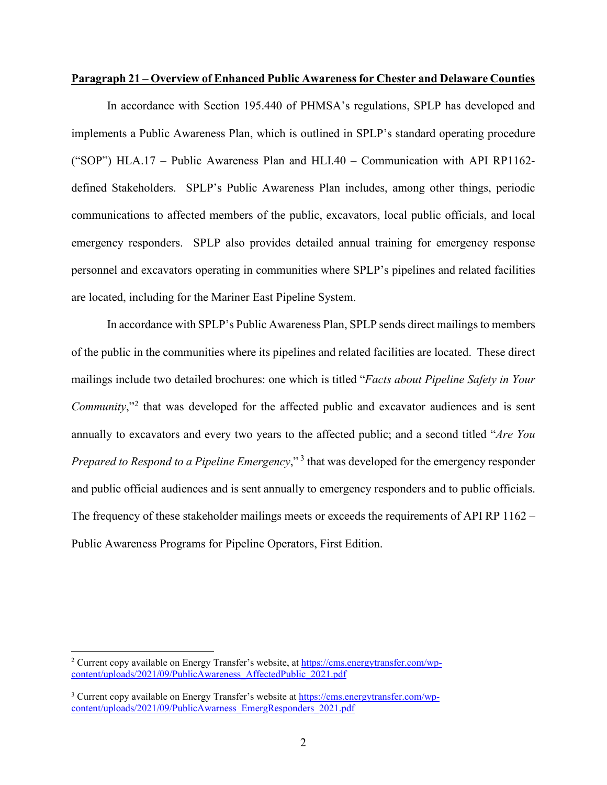#### **Paragraph 21 – Overview of Enhanced Public Awareness for Chester and Delaware Counties**

In accordance with Section 195.440 of PHMSA's regulations, SPLP has developed and implements a Public Awareness Plan, which is outlined in SPLP's standard operating procedure ("SOP") HLA.17 – Public Awareness Plan and HLI.40 – Communication with API RP1162 defined Stakeholders. SPLP's Public Awareness Plan includes, among other things, periodic communications to affected members of the public, excavators, local public officials, and local emergency responders. SPLP also provides detailed annual training for emergency response personnel and excavators operating in communities where SPLP's pipelines and related facilities are located, including for the Mariner East Pipeline System.

In accordance with SPLP's Public Awareness Plan, SPLP sends direct mailings to members of the public in the communities where its pipelines and related facilities are located. These direct mailings include two detailed brochures: one which is titled "*Facts about Pipeline Safety in Your*  Community,"<sup>2</sup> that was developed for the affected public and excavator audiences and is sent annually to excavators and every two years to the affected public; and a second titled "*Are You Prepared to Respond to a Pipeline Emergency*,"<sup>3</sup> that was developed for the emergency responder and public official audiences and is sent annually to emergency responders and to public officials. The frequency of these stakeholder mailings meets or exceeds the requirements of API RP 1162 – Public Awareness Programs for Pipeline Operators, First Edition.

<sup>&</sup>lt;sup>2</sup> Current copy available on Energy Transfer's website, at [https://cms.energytransfer.com/wp](https://cms.energytransfer.com/wp-content/uploads/2021/09/PublicAwareness_AffectedPublic_2021.pdf)[content/uploads/2021/09/PublicAwareness\\_AffectedPublic\\_2021.pdf](https://cms.energytransfer.com/wp-content/uploads/2021/09/PublicAwareness_AffectedPublic_2021.pdf) 

<sup>&</sup>lt;sup>3</sup> Current copy available on Energy Transfer's website a[t https://cms.energytransfer.com/wp](https://cms.energytransfer.com/wp-content/uploads/2021/09/PublicAwarness_EmergResponders_2021.pdf)[content/uploads/2021/09/PublicAwarness\\_EmergResponders\\_2021.pdf](https://cms.energytransfer.com/wp-content/uploads/2021/09/PublicAwarness_EmergResponders_2021.pdf)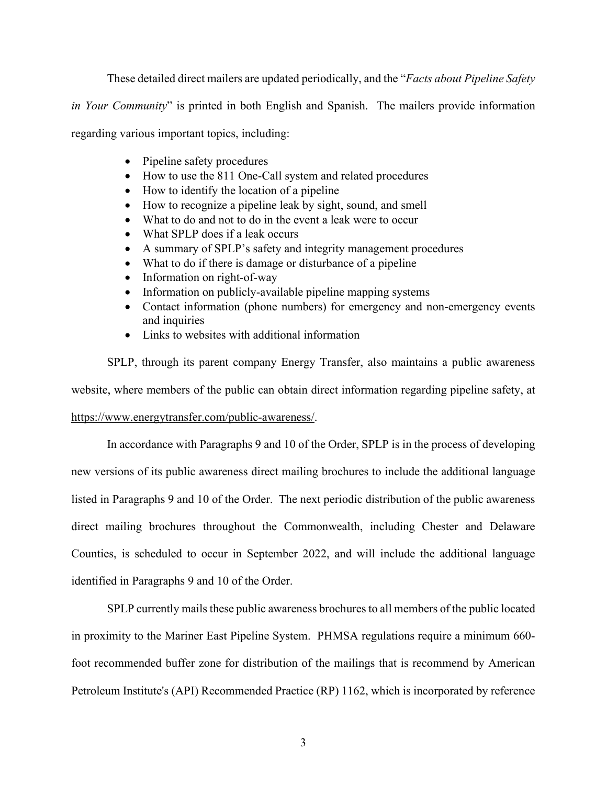These detailed direct mailers are updated periodically, and the "*Facts about Pipeline Safety* 

*in Your Community*" is printed in both English and Spanish. The mailers provide information

regarding various important topics, including:

- Pipeline safety procedures
- How to use the 811 One-Call system and related procedures
- How to identify the location of a pipeline
- How to recognize a pipeline leak by sight, sound, and smell
- What to do and not to do in the event a leak were to occur
- What SPLP does if a leak occurs
- A summary of SPLP's safety and integrity management procedures
- What to do if there is damage or disturbance of a pipeline
- Information on right-of-way
- Information on publicly-available pipeline mapping systems
- Contact information (phone numbers) for emergency and non-emergency events and inquiries
- Links to websites with additional information

SPLP, through its parent company Energy Transfer, also maintains a public awareness website, where members of the public can obtain direct information regarding pipeline safety, at

# [https://www.energytransfer.com/public-awareness/.](https://www.energytransfer.com/public-awareness/)

In accordance with Paragraphs 9 and 10 of the Order, SPLP is in the process of developing new versions of its public awareness direct mailing brochures to include the additional language listed in Paragraphs 9 and 10 of the Order. The next periodic distribution of the public awareness direct mailing brochures throughout the Commonwealth, including Chester and Delaware Counties, is scheduled to occur in September 2022, and will include the additional language identified in Paragraphs 9 and 10 of the Order.

SPLP currently mails these public awareness brochures to all members of the public located in proximity to the Mariner East Pipeline System. PHMSA regulations require a minimum 660 foot recommended buffer zone for distribution of the mailings that is recommend by American Petroleum Institute's (API) Recommended Practice (RP) 1162, which is incorporated by reference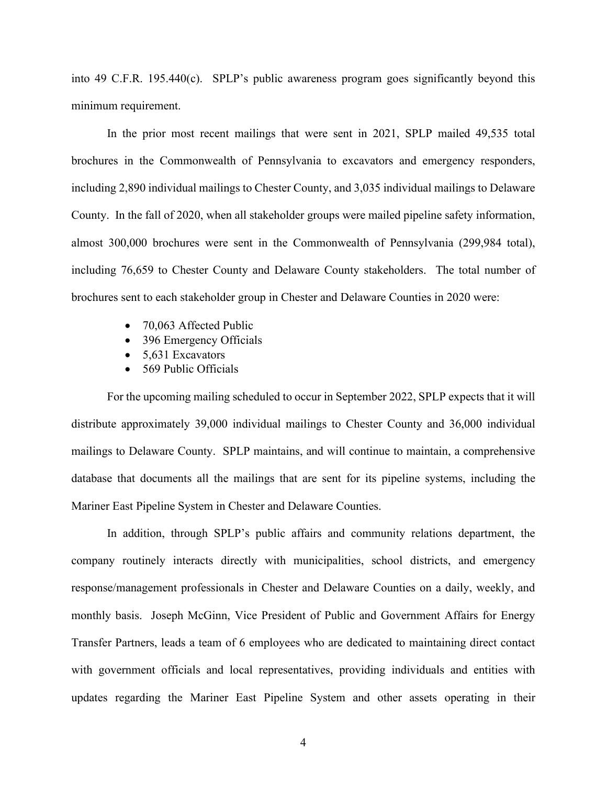into 49 C.F.R. 195.440(c). SPLP's public awareness program goes significantly beyond this minimum requirement.

In the prior most recent mailings that were sent in 2021, SPLP mailed 49,535 total brochures in the Commonwealth of Pennsylvania to excavators and emergency responders, including 2,890 individual mailings to Chester County, and 3,035 individual mailings to Delaware County. In the fall of 2020, when all stakeholder groups were mailed pipeline safety information, almost 300,000 brochures were sent in the Commonwealth of Pennsylvania (299,984 total), including 76,659 to Chester County and Delaware County stakeholders. The total number of brochures sent to each stakeholder group in Chester and Delaware Counties in 2020 were:

- 70,063 Affected Public
- 396 Emergency Officials
- $\bullet$  5,631 Excavators
- 569 Public Officials

For the upcoming mailing scheduled to occur in September 2022, SPLP expects that it will distribute approximately 39,000 individual mailings to Chester County and 36,000 individual mailings to Delaware County. SPLP maintains, and will continue to maintain, a comprehensive database that documents all the mailings that are sent for its pipeline systems, including the Mariner East Pipeline System in Chester and Delaware Counties.

In addition, through SPLP's public affairs and community relations department, the company routinely interacts directly with municipalities, school districts, and emergency response/management professionals in Chester and Delaware Counties on a daily, weekly, and monthly basis. Joseph McGinn, Vice President of Public and Government Affairs for Energy Transfer Partners, leads a team of 6 employees who are dedicated to maintaining direct contact with government officials and local representatives, providing individuals and entities with updates regarding the Mariner East Pipeline System and other assets operating in their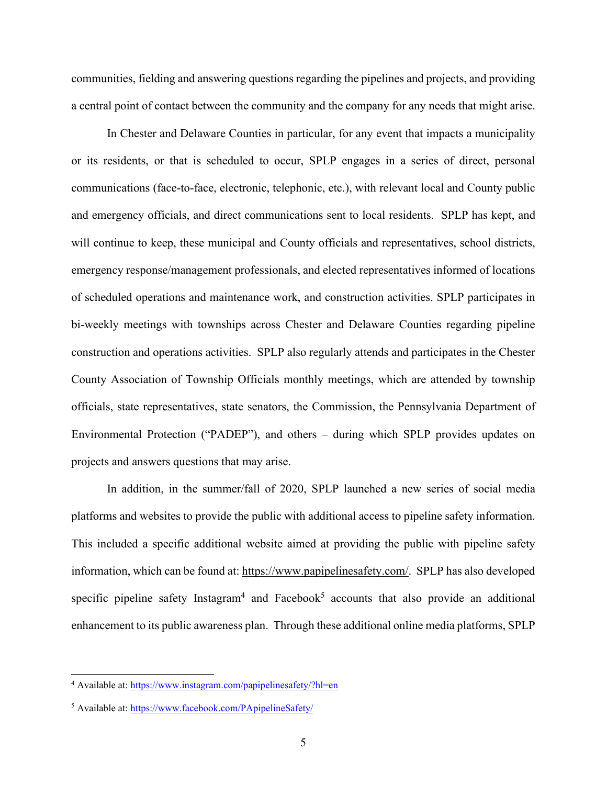communities, fielding and answering questions regarding the pipelines and projects, and providing a central point of contact between the community and the company for any needs that might arise.

In Chester and Delaware Counties in particular, for any event that impacts a municipality or its residents, or that is scheduled to occur, SPLP engages in a series of direct, personal communications (face-to-face, electronic, telephonic, etc.), with relevant local and County public and emergency officials, and direct communications sent to local residents. SPLP has kept, and will continue to keep, these municipal and County officials and representatives, school districts, emergency response/management professionals, and elected representatives informed of locations of scheduled operations and maintenance work, and construction activities. SPLP participates in bi-weekly meetings with townships across Chester and Delaware Counties regarding pipeline construction and operations activities. SPLP also regularly attends and participates in the Chester County Association of Township Officials monthly meetings, which are attended by township officials, state representatives, state senators, the Commission, the Pennsylvania Department of Environmental Protection ("PADEP"), and others – during which SPLP provides updates on projects and answers questions that may arise.

In addition, in the summer/fall of 2020, SPLP launched a new series of social media platforms and websites to provide the public with additional access to pipeline safety information. This included a specific additional website aimed at providing the public with pipeline safety information, which can be found at: [https://www.papipelinesafety.com/.](https://www.papipelinesafety.com/) SPLP has also developed specific pipeline safety Instagram<sup>4</sup> and Facebook<sup>5</sup> accounts that also provide an additional enhancement to its public awareness plan. Through these additional online media platforms, SPLP

<sup>&</sup>lt;sup>4</sup> Available at[: https://www.instagram.com/papipelinesafety/?hl=en](https://www.instagram.com/papipelinesafety/?hl=en)

<sup>&</sup>lt;sup>5</sup> Available at[: https://www.facebook.com/PApipelineSafety/](https://www.facebook.com/PApipelineSafety/)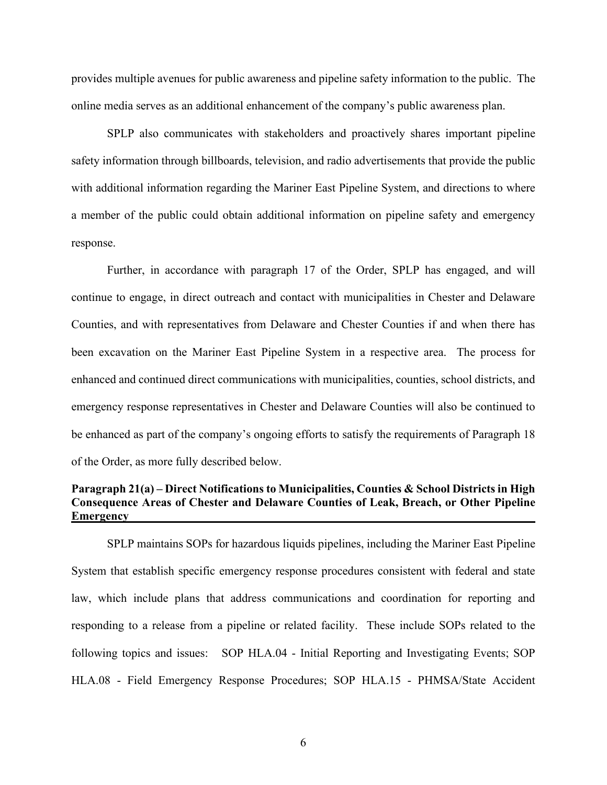provides multiple avenues for public awareness and pipeline safety information to the public. The online media serves as an additional enhancement of the company's public awareness plan.

SPLP also communicates with stakeholders and proactively shares important pipeline safety information through billboards, television, and radio advertisements that provide the public with additional information regarding the Mariner East Pipeline System, and directions to where a member of the public could obtain additional information on pipeline safety and emergency response.

Further, in accordance with paragraph 17 of the Order, SPLP has engaged, and will continue to engage, in direct outreach and contact with municipalities in Chester and Delaware Counties, and with representatives from Delaware and Chester Counties if and when there has been excavation on the Mariner East Pipeline System in a respective area. The process for enhanced and continued direct communications with municipalities, counties, school districts, and emergency response representatives in Chester and Delaware Counties will also be continued to be enhanced as part of the company's ongoing efforts to satisfy the requirements of Paragraph 18 of the Order, as more fully described below.

# **Paragraph 21(a) – Direct Notifications to Municipalities, Counties & School Districts in High Consequence Areas of Chester and Delaware Counties of Leak, Breach, or Other Pipeline Emergency**

SPLP maintains SOPs for hazardous liquids pipelines, including the Mariner East Pipeline System that establish specific emergency response procedures consistent with federal and state law, which include plans that address communications and coordination for reporting and responding to a release from a pipeline or related facility. These include SOPs related to the following topics and issues: SOP HLA.04 - Initial Reporting and Investigating Events; SOP HLA.08 - Field Emergency Response Procedures; SOP HLA.15 - PHMSA/State Accident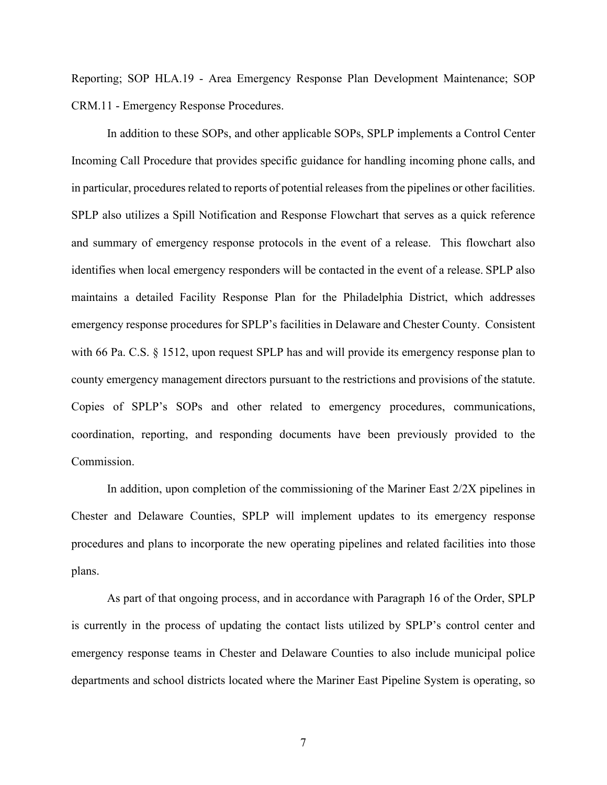Reporting; SOP HLA.19 - Area Emergency Response Plan Development Maintenance; SOP CRM.11 - Emergency Response Procedures.

In addition to these SOPs, and other applicable SOPs, SPLP implements a Control Center Incoming Call Procedure that provides specific guidance for handling incoming phone calls, and in particular, procedures related to reports of potential releases from the pipelines or other facilities. SPLP also utilizes a Spill Notification and Response Flowchart that serves as a quick reference and summary of emergency response protocols in the event of a release. This flowchart also identifies when local emergency responders will be contacted in the event of a release. SPLP also maintains a detailed Facility Response Plan for the Philadelphia District, which addresses emergency response procedures for SPLP's facilities in Delaware and Chester County. Consistent with 66 Pa. C.S. § 1512, upon request SPLP has and will provide its emergency response plan to county emergency management directors pursuant to the restrictions and provisions of the statute. Copies of SPLP's SOPs and other related to emergency procedures, communications, coordination, reporting, and responding documents have been previously provided to the Commission.

In addition, upon completion of the commissioning of the Mariner East 2/2X pipelines in Chester and Delaware Counties, SPLP will implement updates to its emergency response procedures and plans to incorporate the new operating pipelines and related facilities into those plans.

As part of that ongoing process, and in accordance with Paragraph 16 of the Order, SPLP is currently in the process of updating the contact lists utilized by SPLP's control center and emergency response teams in Chester and Delaware Counties to also include municipal police departments and school districts located where the Mariner East Pipeline System is operating, so

7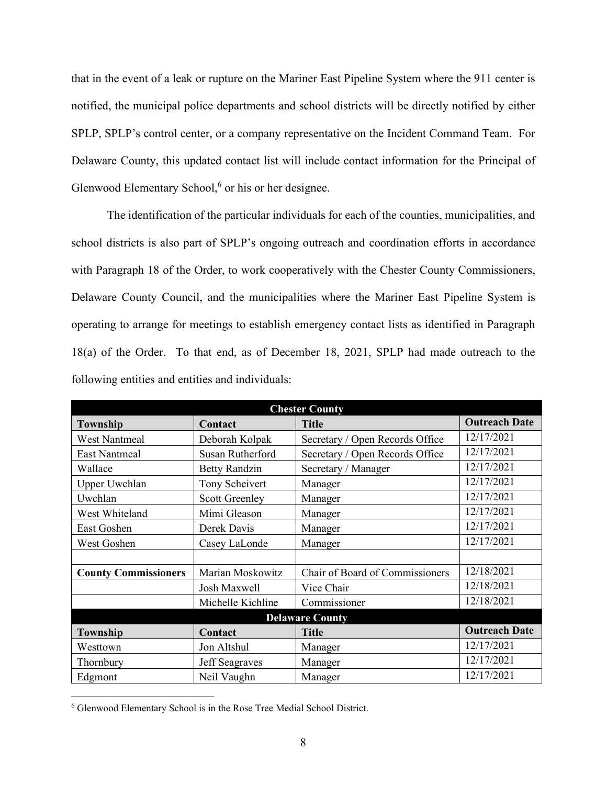that in the event of a leak or rupture on the Mariner East Pipeline System where the 911 center is notified, the municipal police departments and school districts will be directly notified by either SPLP, SPLP's control center, or a company representative on the Incident Command Team. For Delaware County, this updated contact list will include contact information for the Principal of Glenwood Elementary School, $6$  or his or her designee.

The identification of the particular individuals for each of the counties, municipalities, and school districts is also part of SPLP's ongoing outreach and coordination efforts in accordance with Paragraph 18 of the Order, to work cooperatively with the Chester County Commissioners, Delaware County Council, and the municipalities where the Mariner East Pipeline System is operating to arrange for meetings to establish emergency contact lists as identified in Paragraph 18(a) of the Order. To that end, as of December 18, 2021, SPLP had made outreach to the following entities and entities and individuals:

| <b>Chester County</b>       |                       |                                 |                      |  |  |
|-----------------------------|-----------------------|---------------------------------|----------------------|--|--|
| <b>Township</b>             | Contact               | <b>Title</b>                    | <b>Outreach Date</b> |  |  |
| <b>West Nantmeal</b>        | Deborah Kolpak        | Secretary / Open Records Office | 12/17/2021           |  |  |
| <b>East Nantmeal</b>        | Susan Rutherford      | Secretary / Open Records Office | 12/17/2021           |  |  |
| Wallace                     | <b>Betty Randzin</b>  | Secretary / Manager             | 12/17/2021           |  |  |
| <b>Upper Uwchlan</b>        | Tony Scheivert        | Manager                         | 12/17/2021           |  |  |
| Uwchlan                     | <b>Scott Greenley</b> | Manager                         | 12/17/2021           |  |  |
| West Whiteland              | Mimi Gleason          | Manager                         | 12/17/2021           |  |  |
| East Goshen                 | Derek Davis           | Manager                         | 12/17/2021           |  |  |
| West Goshen                 | Casey LaLonde         | Manager                         | 12/17/2021           |  |  |
|                             |                       |                                 |                      |  |  |
| <b>County Commissioners</b> | Marian Moskowitz      | Chair of Board of Commissioners | 12/18/2021           |  |  |
|                             | Josh Maxwell          | Vice Chair                      | 12/18/2021           |  |  |
|                             | Michelle Kichline     | Commissioner                    | 12/18/2021           |  |  |
| <b>Delaware County</b>      |                       |                                 |                      |  |  |
| Township                    | Contact               | <b>Title</b>                    | <b>Outreach Date</b> |  |  |
| Westtown                    | Jon Altshul           | Manager                         | 12/17/2021           |  |  |
| Thornbury                   | Jeff Seagraves        | Manager                         | 12/17/2021           |  |  |
| Edgmont                     | Neil Vaughn           | Manager                         | 12/17/2021           |  |  |

<sup>6</sup> Glenwood Elementary School is in the Rose Tree Medial School District.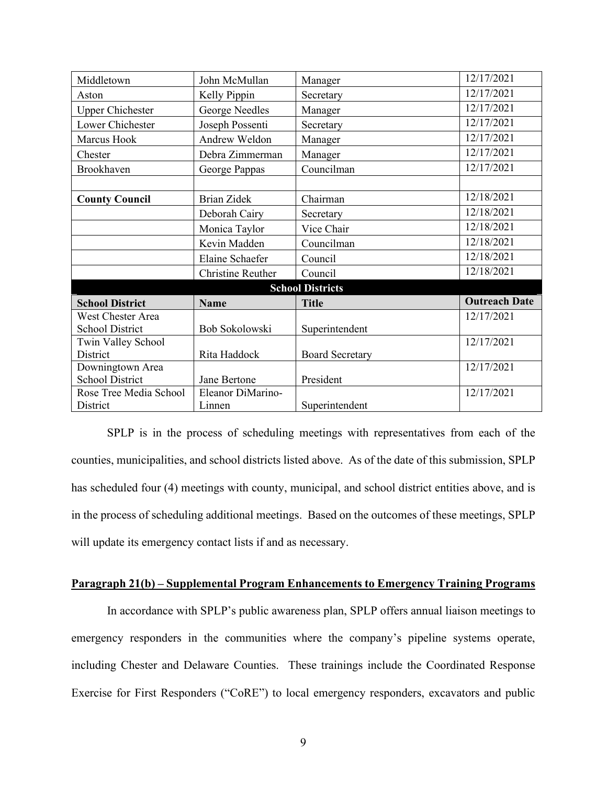| Middletown              | John McMullan      | Manager                | 12/17/2021           |  |  |
|-------------------------|--------------------|------------------------|----------------------|--|--|
| Aston                   | Kelly Pippin       | Secretary              | 12/17/2021           |  |  |
| <b>Upper Chichester</b> | George Needles     | Manager                | 12/17/2021           |  |  |
| Lower Chichester        | Joseph Possenti    | Secretary              | 12/17/2021           |  |  |
| Marcus Hook             | Andrew Weldon      | Manager                | 12/17/2021           |  |  |
| Chester                 | Debra Zimmerman    | Manager                | 12/17/2021           |  |  |
| Brookhaven              | George Pappas      | Councilman             | 12/17/2021           |  |  |
|                         |                    |                        |                      |  |  |
| <b>County Council</b>   | <b>Brian Zidek</b> | Chairman               | 12/18/2021           |  |  |
|                         | Deborah Cairy      | Secretary              | 12/18/2021           |  |  |
|                         | Monica Taylor      | Vice Chair             | 12/18/2021           |  |  |
|                         | Kevin Madden       | Councilman             | 12/18/2021           |  |  |
|                         | Elaine Schaefer    | Council                | 12/18/2021           |  |  |
|                         | Christine Reuther  | Council                | 12/18/2021           |  |  |
| <b>School Districts</b> |                    |                        |                      |  |  |
| <b>School District</b>  | <b>Name</b>        | <b>Title</b>           | <b>Outreach Date</b> |  |  |
| West Chester Area       |                    |                        | 12/17/2021           |  |  |
| <b>School District</b>  | Bob Sokolowski     | Superintendent         |                      |  |  |
| Twin Valley School      |                    |                        | 12/17/2021           |  |  |
| District                | Rita Haddock       | <b>Board Secretary</b> |                      |  |  |
| Downingtown Area        |                    |                        | 12/17/2021           |  |  |
| <b>School District</b>  | Jane Bertone       | President              |                      |  |  |
| Rose Tree Media School  | Eleanor DiMarino-  |                        | 12/17/2021           |  |  |
| District                | Linnen             | Superintendent         |                      |  |  |

SPLP is in the process of scheduling meetings with representatives from each of the counties, municipalities, and school districts listed above. As of the date of this submission, SPLP has scheduled four (4) meetings with county, municipal, and school district entities above, and is in the process of scheduling additional meetings. Based on the outcomes of these meetings, SPLP will update its emergency contact lists if and as necessary.

# **Paragraph 21(b) – Supplemental Program Enhancements to Emergency Training Programs**

In accordance with SPLP's public awareness plan, SPLP offers annual liaison meetings to emergency responders in the communities where the company's pipeline systems operate, including Chester and Delaware Counties. These trainings include the Coordinated Response Exercise for First Responders ("CoRE") to local emergency responders, excavators and public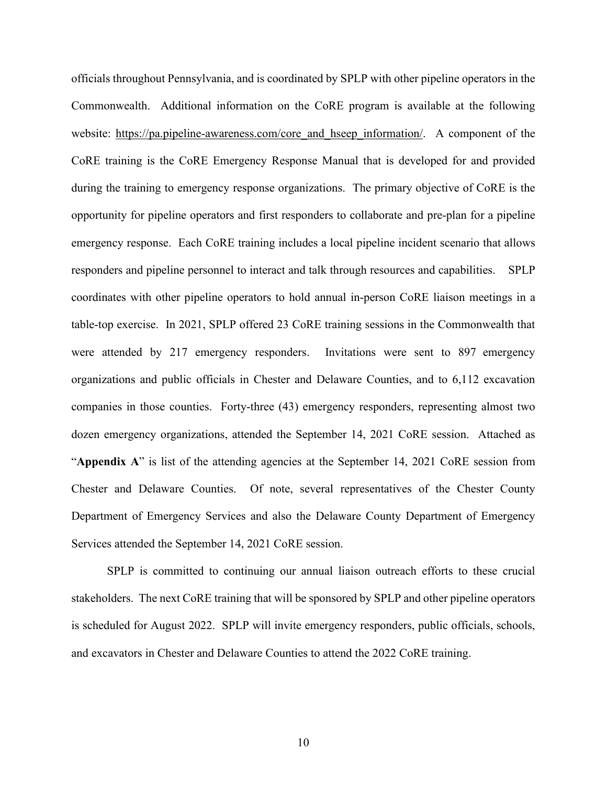officials throughout Pennsylvania, and is coordinated by SPLP with other pipeline operators in the Commonwealth. Additional information on the CoRE program is available at the following website: [https://pa.pipeline-awareness.com/core\\_and\\_hseep\\_information/.](https://pa.pipeline-awareness.com/core_and_hseep_information/) A component of the CoRE training is the CoRE Emergency Response Manual that is developed for and provided during the training to emergency response organizations. The primary objective of CoRE is the opportunity for pipeline operators and first responders to collaborate and pre-plan for a pipeline emergency response. Each CoRE training includes a local pipeline incident scenario that allows responders and pipeline personnel to interact and talk through resources and capabilities. SPLP coordinates with other pipeline operators to hold annual in-person CoRE liaison meetings in a table-top exercise. In 2021, SPLP offered 23 CoRE training sessions in the Commonwealth that were attended by 217 emergency responders. Invitations were sent to 897 emergency organizations and public officials in Chester and Delaware Counties, and to 6,112 excavation companies in those counties. Forty-three (43) emergency responders, representing almost two dozen emergency organizations, attended the September 14, 2021 CoRE session. Attached as "**Appendix A**" is list of the attending agencies at the September 14, 2021 CoRE session from Chester and Delaware Counties. Of note, several representatives of the Chester County Department of Emergency Services and also the Delaware County Department of Emergency Services attended the September 14, 2021 CoRE session.

SPLP is committed to continuing our annual liaison outreach efforts to these crucial stakeholders. The next CoRE training that will be sponsored by SPLP and other pipeline operators is scheduled for August 2022. SPLP will invite emergency responders, public officials, schools, and excavators in Chester and Delaware Counties to attend the 2022 CoRE training.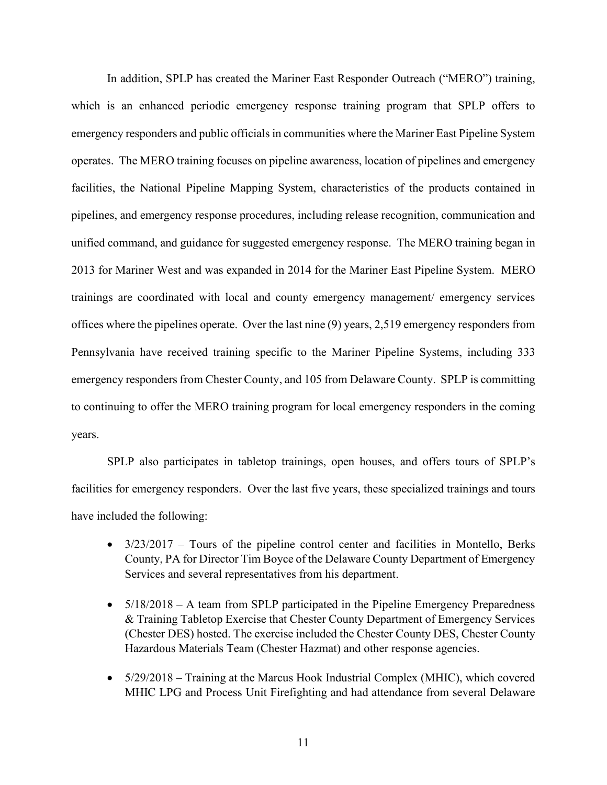In addition, SPLP has created the Mariner East Responder Outreach ("MERO") training, which is an enhanced periodic emergency response training program that SPLP offers to emergency responders and public officials in communities where the Mariner East Pipeline System operates. The MERO training focuses on pipeline awareness, location of pipelines and emergency facilities, the National Pipeline Mapping System, characteristics of the products contained in pipelines, and emergency response procedures, including release recognition, communication and unified command, and guidance for suggested emergency response. The MERO training began in 2013 for Mariner West and was expanded in 2014 for the Mariner East Pipeline System. MERO trainings are coordinated with local and county emergency management/ emergency services offices where the pipelines operate. Over the last nine (9) years, 2,519 emergency responders from Pennsylvania have received training specific to the Mariner Pipeline Systems, including 333 emergency responders from Chester County, and 105 from Delaware County. SPLP is committing to continuing to offer the MERO training program for local emergency responders in the coming years.

SPLP also participates in tabletop trainings, open houses, and offers tours of SPLP's facilities for emergency responders. Over the last five years, these specialized trainings and tours have included the following:

- $\bullet$  3/23/2017 Tours of the pipeline control center and facilities in Montello, Berks County, PA for Director Tim Boyce of the Delaware County Department of Emergency Services and several representatives from his department.
- 5/18/2018 A team from SPLP participated in the Pipeline Emergency Preparedness & Training Tabletop Exercise that Chester County Department of Emergency Services (Chester DES) hosted. The exercise included the Chester County DES, Chester County Hazardous Materials Team (Chester Hazmat) and other response agencies.
- 5/29/2018 Training at the Marcus Hook Industrial Complex (MHIC), which covered MHIC LPG and Process Unit Firefighting and had attendance from several Delaware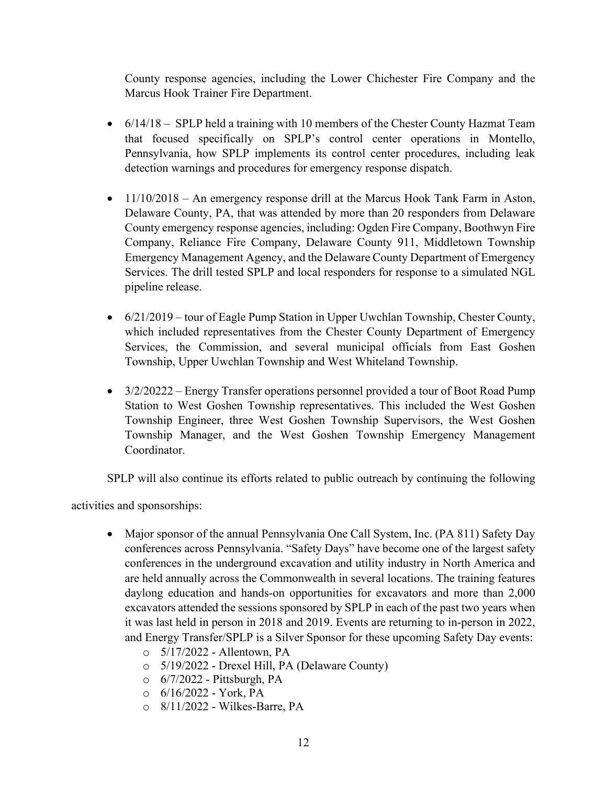County response agencies, including the Lower Chichester Fire Company and the Marcus Hook Trainer Fire Department.

- 6/14/18 SPLP held a training with 10 members of the Chester County Hazmat Team that focused specifically on SPLP's control center operations in Montello, Pennsylvania, how SPLP implements its control center procedures, including leak detection warnings and procedures for emergency response dispatch.
- 11/10/2018 An emergency response drill at the Marcus Hook Tank Farm in Aston, Delaware County, PA, that was attended by more than 20 responders from Delaware County emergency response agencies, including: Ogden Fire Company, Boothwyn Fire Company, Reliance Fire Company, Delaware County 911, Middletown Township Emergency Management Agency, and the Delaware County Department of Emergency Services. The drill tested SPLP and local responders for response to a simulated NGL pipeline release.
- $\bullet$  6/21/2019 tour of Eagle Pump Station in Upper Uwchlan Township, Chester County, which included representatives from the Chester County Department of Emergency Services, the Commission, and several municipal officials from East Goshen Township, Upper Uwchlan Township and West Whiteland Township.
- 3/2/20222 Energy Transfer operations personnel provided a tour of Boot Road Pump Station to West Goshen Township representatives. This included the West Goshen Township Engineer, three West Goshen Township Supervisors, the West Goshen Township Manager, and the West Goshen Township Emergency Management Coordinator.

SPLP will also continue its efforts related to public outreach by continuing the following

activities and sponsorships:

- Major sponsor of the annual Pennsylvania One Call System, Inc. (PA 811) Safety Day conferences across Pennsylvania. "Safety Days" have become one of the largest safety conferences in the underground excavation and utility industry in North America and are held annually across the Commonwealth in several locations. The training features daylong education and hands-on opportunities for excavators and more than 2,000 excavators attended the sessions sponsored by SPLP in each of the past two years when it was last held in person in 2018 and 2019. Events are returning to in-person in 2022, and Energy Transfer/SPLP is a Silver Sponsor for these upcoming Safety Day events:
	- o 5/17/2022 Allentown, PA
	- o 5/19/2022 Drexel Hill, PA (Delaware County)
	- o 6/7/2022 Pittsburgh, PA
	- $O = 6/16/2022$  York, PA
	- o 8/11/2022 Wilkes-Barre, PA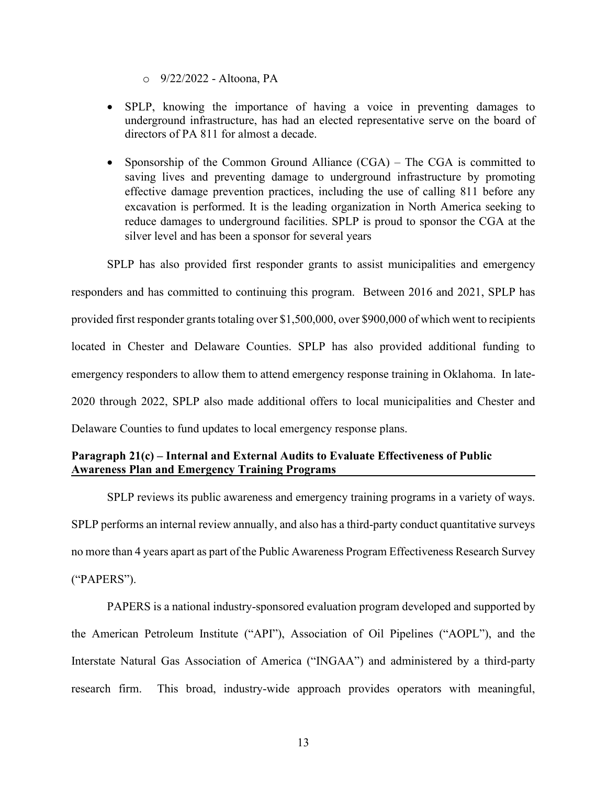- o 9/22/2022 Altoona, PA
- SPLP, knowing the importance of having a voice in preventing damages to underground infrastructure, has had an elected representative serve on the board of directors of PA 811 for almost a decade.
- Sponsorship of the Common Ground Alliance (CGA) The CGA is committed to saving lives and preventing damage to underground infrastructure by promoting effective damage prevention practices, including the use of calling 811 before any excavation is performed. It is the leading organization in North America seeking to reduce damages to underground facilities. SPLP is proud to sponsor the CGA at the silver level and has been a sponsor for several years

SPLP has also provided first responder grants to assist municipalities and emergency responders and has committed to continuing this program. Between 2016 and 2021, SPLP has provided first responder grants totaling over \$1,500,000, over \$900,000 of which went to recipients located in Chester and Delaware Counties. SPLP has also provided additional funding to emergency responders to allow them to attend emergency response training in Oklahoma. In late-2020 through 2022, SPLP also made additional offers to local municipalities and Chester and Delaware Counties to fund updates to local emergency response plans.

# **Paragraph 21(c) – Internal and External Audits to Evaluate Effectiveness of Public Awareness Plan and Emergency Training Programs**

SPLP reviews its public awareness and emergency training programs in a variety of ways. SPLP performs an internal review annually, and also has a third-party conduct quantitative surveys no more than 4 years apart as part of the Public Awareness Program Effectiveness Research Survey ("PAPERS").

PAPERS is a national industry-sponsored evaluation program developed and supported by the American Petroleum Institute ("API"), Association of Oil Pipelines ("AOPL"), and the Interstate Natural Gas Association of America ("INGAA") and administered by a third-party research firm. This broad, industry-wide approach provides operators with meaningful,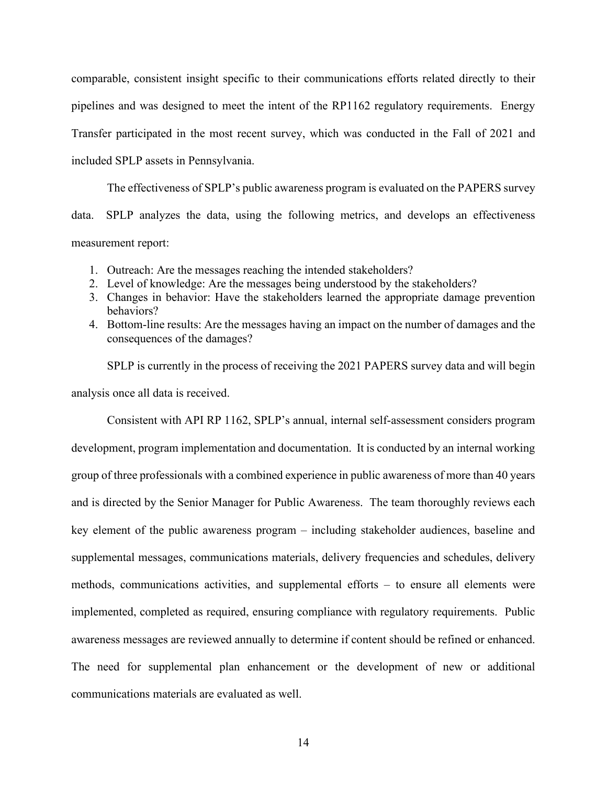comparable, consistent insight specific to their communications efforts related directly to their pipelines and was designed to meet the intent of the RP1162 regulatory requirements. Energy Transfer participated in the most recent survey, which was conducted in the Fall of 2021 and included SPLP assets in Pennsylvania.

The effectiveness of SPLP's public awareness program is evaluated on the PAPERS survey data. SPLP analyzes the data, using the following metrics, and develops an effectiveness measurement report:

- 1. Outreach: Are the messages reaching the intended stakeholders?
- 2. Level of knowledge: Are the messages being understood by the stakeholders?
- 3. Changes in behavior: Have the stakeholders learned the appropriate damage prevention behaviors?
- 4. Bottom-line results: Are the messages having an impact on the number of damages and the consequences of the damages?

SPLP is currently in the process of receiving the 2021 PAPERS survey data and will begin analysis once all data is received.

Consistent with API RP 1162, SPLP's annual, internal self-assessment considers program development, program implementation and documentation. It is conducted by an internal working group of three professionals with a combined experience in public awareness of more than 40 years and is directed by the Senior Manager for Public Awareness. The team thoroughly reviews each key element of the public awareness program – including stakeholder audiences, baseline and supplemental messages, communications materials, delivery frequencies and schedules, delivery methods, communications activities, and supplemental efforts – to ensure all elements were implemented, completed as required, ensuring compliance with regulatory requirements. Public awareness messages are reviewed annually to determine if content should be refined or enhanced. The need for supplemental plan enhancement or the development of new or additional communications materials are evaluated as well.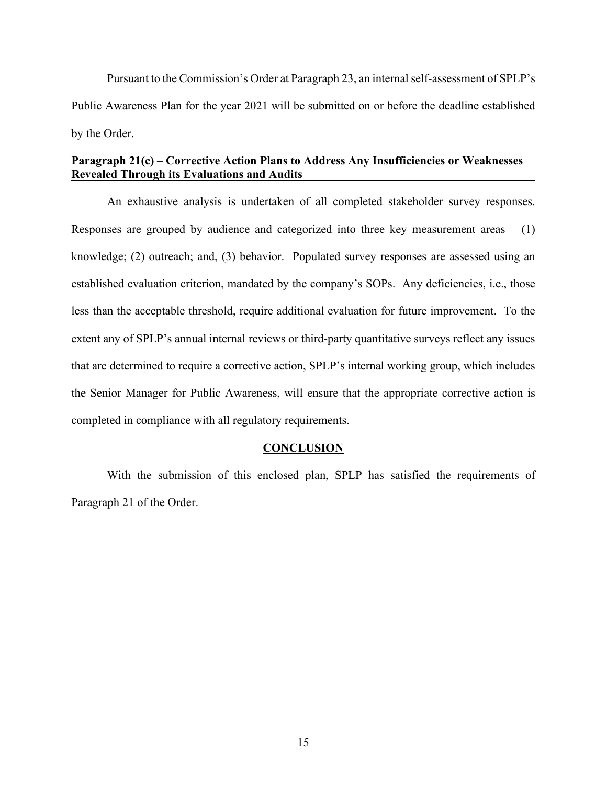Pursuant to the Commission's Order at Paragraph 23, an internal self-assessment of SPLP's Public Awareness Plan for the year 2021 will be submitted on or before the deadline established by the Order.

### **Paragraph 21(c) – Corrective Action Plans to Address Any Insufficiencies or Weaknesses Revealed Through its Evaluations and Audits**

An exhaustive analysis is undertaken of all completed stakeholder survey responses. Responses are grouped by audience and categorized into three key measurement areas  $- (1)$ knowledge; (2) outreach; and, (3) behavior. Populated survey responses are assessed using an established evaluation criterion, mandated by the company's SOPs. Any deficiencies, i.e., those less than the acceptable threshold, require additional evaluation for future improvement. To the extent any of SPLP's annual internal reviews or third-party quantitative surveys reflect any issues that are determined to require a corrective action, SPLP's internal working group, which includes the Senior Manager for Public Awareness, will ensure that the appropriate corrective action is completed in compliance with all regulatory requirements.

#### **CONCLUSION**

With the submission of this enclosed plan, SPLP has satisfied the requirements of Paragraph 21 of the Order.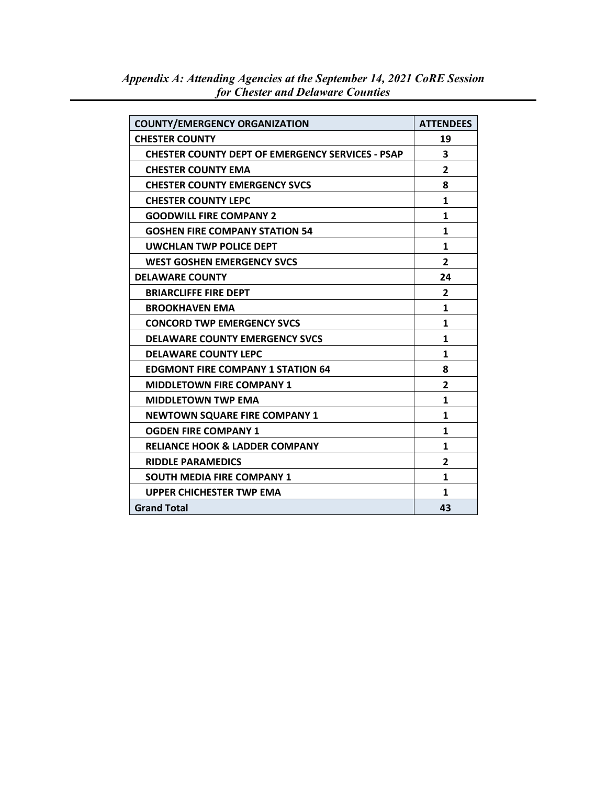| <b>COUNTY/EMERGENCY ORGANIZATION</b>                    | <b>ATTENDEES</b> |
|---------------------------------------------------------|------------------|
| <b>CHESTER COUNTY</b>                                   | 19               |
| <b>CHESTER COUNTY DEPT OF EMERGENCY SERVICES - PSAP</b> | 3                |
| <b>CHESTER COUNTY EMA</b>                               | $\overline{2}$   |
| <b>CHESTER COUNTY EMERGENCY SVCS</b>                    | 8                |
| <b>CHESTER COUNTY LEPC</b>                              | $\mathbf{1}$     |
| <b>GOODWILL FIRE COMPANY 2</b>                          | $\mathbf{1}$     |
| <b>GOSHEN FIRE COMPANY STATION 54</b>                   | 1                |
| <b>UWCHLAN TWP POLICE DEPT</b>                          | 1                |
| <b>WEST GOSHEN EMERGENCY SVCS</b>                       | $\overline{2}$   |
| <b>DELAWARE COUNTY</b>                                  | 24               |
| <b>BRIARCLIFFE FIRE DEPT</b>                            | $\mathbf{2}$     |
| <b>BROOKHAVEN EMA</b>                                   | $\mathbf{1}$     |
| <b>CONCORD TWP EMERGENCY SVCS</b>                       | 1                |
| <b>DELAWARE COUNTY EMERGENCY SVCS</b>                   | 1                |
| <b>DELAWARE COUNTY LEPC</b>                             | 1                |
| <b>EDGMONT FIRE COMPANY 1 STATION 64</b>                | 8                |
| <b>MIDDLETOWN FIRE COMPANY 1</b>                        | $\mathbf{2}$     |
| <b>MIDDLETOWN TWP EMA</b>                               | $\mathbf{1}$     |
| <b>NEWTOWN SQUARE FIRE COMPANY 1</b>                    | 1                |
| <b>OGDEN FIRE COMPANY 1</b>                             | 1                |
| <b>RELIANCE HOOK &amp; LADDER COMPANY</b>               | 1                |
| <b>RIDDLE PARAMEDICS</b>                                | $\mathbf{2}$     |
| <b>SOUTH MEDIA FIRE COMPANY 1</b>                       | $\mathbf{1}$     |
| <b>UPPER CHICHESTER TWP EMA</b>                         | 1                |
| <b>Grand Total</b>                                      | 43               |

*Appendix A: Attending Agencies at the September 14, 2021 CoRE Session for Chester and Delaware Counties*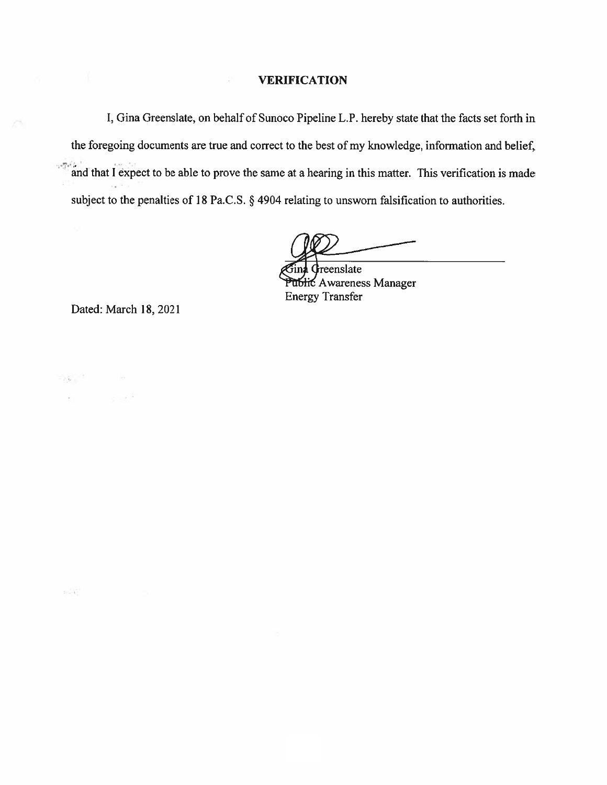#### **VERIFICATION**

I, Gina Greenslate, on behalf of Sunoco Pipeline L.P. hereby state that the facts set forth in the foregoing documents are true and correct to the best of my knowledge, information and belief,  $-276$ and that I expect to be able to prove the same at a hearing in this matter. This verification is made subject to the penalties of 18 Pa.C.S. § 4904 relating to unsworn falsification to authorities.

reenslate ublic Awareness Manager **Energy Transfer** 

Dated: March 18, 2021

 $\label{eq:3.1} \mathcal{L}(\mathbf{y}) = \mathcal{L}(\mathbf{y}) = \mathcal{L}(\mathbf{y})$ 

 $38 - 47$ 

si i le ser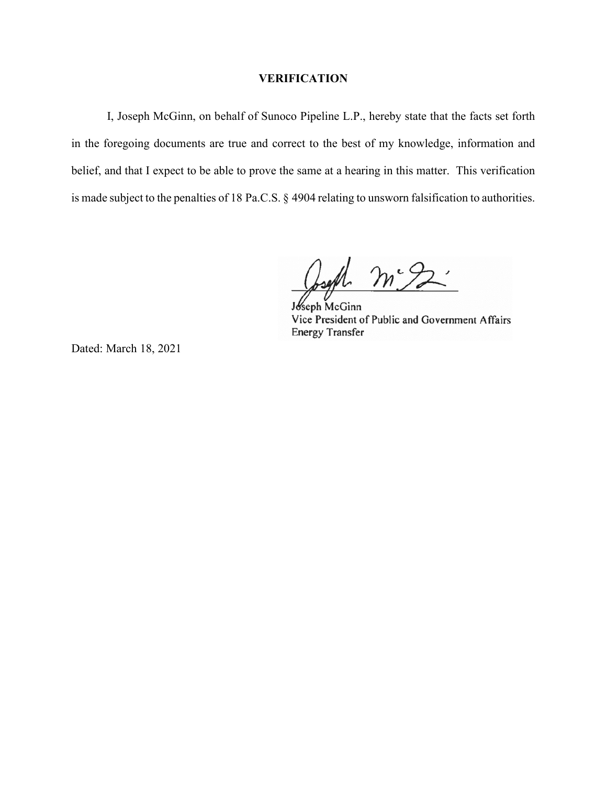#### **VERIFICATION**

 I, Joseph McGinn, on behalf of Sunoco Pipeline L.P., hereby state that the facts set forth in the foregoing documents are true and correct to the best of my knowledge, information and belief, and that I expect to be able to prove the same at a hearing in this matter. This verification is made subject to the penalties of 18 Pa.C.S. § 4904 relating to unsworn falsification to authorities.

 $m<sub>2</sub>$ 

Joseph McGinn Vice President of Public and Government Affairs **Energy Transfer** 

Dated: March 18, 2021